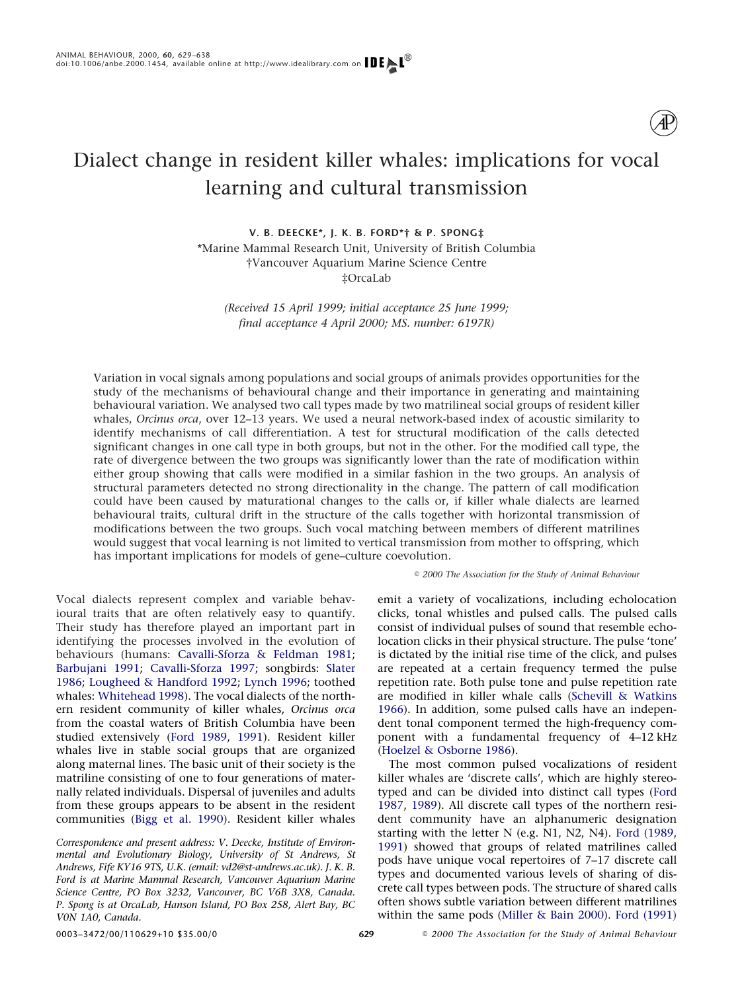

# Dialect change in resident killer whales: implications for vocal learning and cultural transmission

**V. B. DEECKE\*, J. K. B. FORD\*† & P. SPONG‡** \*Marine Mammal Research Unit, University of British Columbia †Vancouver Aquarium Marine Science Centre ‡OrcaLab

*(Received 15 April 1999; initial acceptance 25 June 1999; final acceptance 4 April 2000; MS. number: 6197R)*

Variation in vocal signals among populations and social groups of animals provides opportunities for the study of the mechanisms of behavioural change and their importance in generating and maintaining behavioural variation. We analysed two call types made by two matrilineal social groups of resident killer whales, *Orcinus orca*, over 12–13 years. We used a neural network-based index of acoustic similarity to identify mechanisms of call differentiation. A test for structural modification of the calls detected significant changes in one call type in both groups, but not in the other. For the modified call type, the rate of divergence between the two groups was significantly lower than the rate of modification within either group showing that calls were modified in a similar fashion in the two groups. An analysis of structural parameters detected no strong directionality in the change. The pattern of call modification could have been caused by maturational changes to the calls or, if killer whale dialects are learned behavioural traits, cultural drift in the structure of the calls together with horizontal transmission of modifications between the two groups. Such vocal matching between members of different matrilines would suggest that vocal learning is not limited to vertical transmission from mother to offspring, which has important implications for models of gene–culture coevolution.

*2000 The Association for the Study of Animal Behaviour*

Vocal dialects represent complex and variable behavioural traits that are often relatively easy to quantify. Their study has therefore played an important part in identifying the processes involved in the evolution of behaviours (humans: [Cavalli-Sforza & Feldman 1981;](#page-7-0) [Barbujani 1991;](#page-7-1) [Cavalli-Sforza 1997;](#page-7-2) songbirds: [Slater](#page-8-0) [1986;](#page-8-0) [Lougheed & Handford 1992;](#page-8-1) [Lynch 1996;](#page-8-2) toothed whales: [Whitehead 1998\)](#page-8-3). The vocal dialects of the northern resident community of killer whales, *Orcinus orca* from the coastal waters of British Columbia have been studied extensively [\(Ford 1989,](#page-8-4) [1991\)](#page-8-5). Resident killer whales live in stable social groups that are organized along maternal lines. The basic unit of their society is the matriline consisting of one to four generations of maternally related individuals. Dispersal of juveniles and adults from these groups appears to be absent in the resident communities [\(Bigg et al. 1990\)](#page-7-3). Resident killer whales

*Correspondence and present address: V. Deecke, Institute of Environmental and Evolutionary Biology, University of St Andrews, St Andrews, Fife KY16 9TS, U.K. (email: vd2@st-andrews.ac.uk). J. K. B. Ford is at Marine Mammal Research, Vancouver Aquarium Marine Science Centre, PO Box 3232, Vancouver, BC V6B 3X8, Canada. P. Spong is at OrcaLab, Hanson Island, PO Box 258, Alert Bay, BC V0N 1A0, Canada.*

emit a variety of vocalizations, including echolocation clicks, tonal whistles and pulsed calls. The pulsed calls consist of individual pulses of sound that resemble echolocation clicks in their physical structure. The pulse 'tone' is dictated by the initial rise time of the click, and pulses are repeated at a certain frequency termed the pulse repetition rate. Both pulse tone and pulse repetition rate are modified in killer whale calls [\(Schevill & Watkins](#page-8-6) [1966\)](#page-8-6). In addition, some pulsed calls have an independent tonal component termed the high-frequency component with a fundamental frequency of 4–12 kHz [\(Hoelzel & Osborne 1986\)](#page-8-7).

The most common pulsed vocalizations of resident killer whales are 'discrete calls', which are highly stereotyped and can be divided into distinct call types [\(Ford](#page-7-4) [1987,](#page-7-4) [1989\)](#page-8-4). All discrete call types of the northern resident community have an alphanumeric designation starting with the letter N (e.g. N1, N2, N4). [Ford \(1989,](#page-8-4) [1991\)](#page-8-5) showed that groups of related matrilines called pods have unique vocal repertoires of 7–17 discrete call types and documented various levels of sharing of discrete call types between pods. The structure of shared calls often shows subtle variation between different matrilines within the same pods [\(Miller & Bain 2000\)](#page-8-8). [Ford \(1991\)](#page-8-5)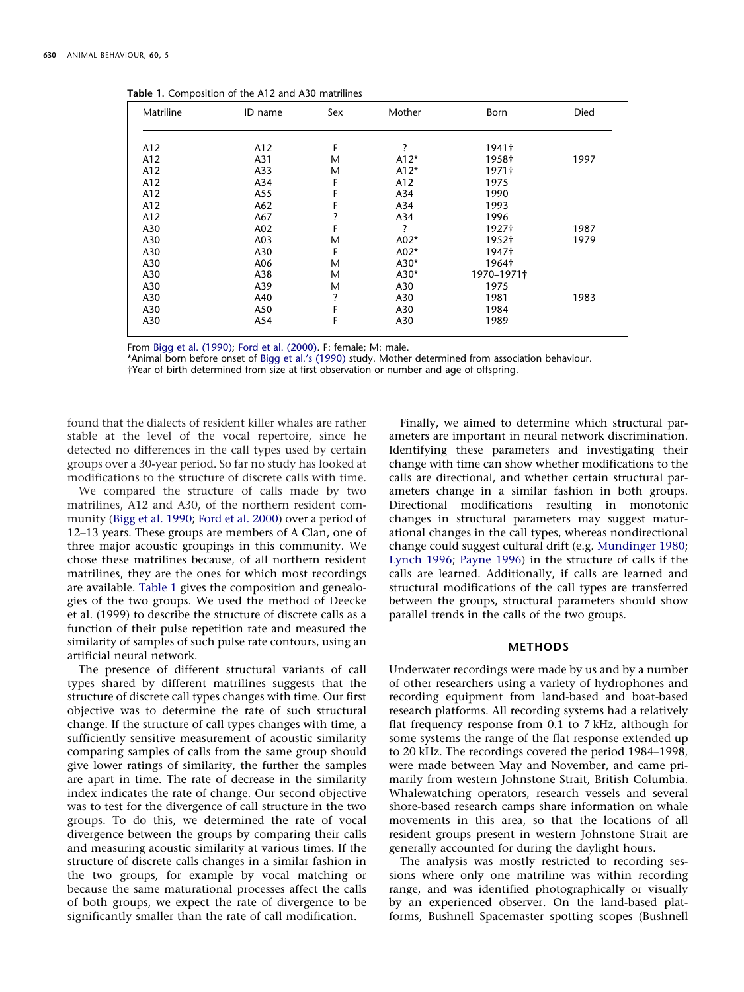| Matriline | ID name         | Sex | Mother | Born       | Died |  |
|-----------|-----------------|-----|--------|------------|------|--|
| A12       | A12             | F   | ?      | 1941†      |      |  |
| A12       | A31             | M   | $A12*$ | 1958†      | 1997 |  |
| A12       | A33             | M   | $A12*$ | 1971†      |      |  |
| A12       | A <sub>34</sub> | F   | A12    | 1975       |      |  |
| A12       | A55             | F   | A34    | 1990       |      |  |
| A12       | A62             | F   | A34    | 1993       |      |  |
| A12       | A67             | ?   | A34    | 1996       |      |  |
| A30       | A02             | F   | ?      | 1927†      | 1987 |  |
| A30       | A03             | M   | $A02*$ | 1952†      | 1979 |  |
| A30       | A30             | F   | $A02*$ | 1947†      |      |  |
| A30       | A06             | M   | $A30*$ | 1964†      |      |  |
| A30       | A38             | M   | $A30*$ | 1970-1971† |      |  |
| A30       | A39             | M   | A30    | 1975       |      |  |
| A30       | A40             | ?   | A30    | 1981       | 1983 |  |
| A30       | A50             | F   | A30    | 1984       |      |  |
| A30       | A54             | F   | A30    | 1989       |      |  |

<span id="page-1-0"></span>

|  |  |  |  |  |  |  |  | Table 1. Composition of the A12 and A30 matrilines |  |
|--|--|--|--|--|--|--|--|----------------------------------------------------|--|
|--|--|--|--|--|--|--|--|----------------------------------------------------|--|

From [Bigg et al. \(1990\);](#page-7-3) [Ford et al. \(2000\).](#page-8-9) F: female; M: male.

\*Animal born before onset of [Bigg et al.'s \(1990\)](#page-7-3) study. Mother determined from association behaviour.

†Year of birth determined from size at first observation or number and age of offspring.

found that the dialects of resident killer whales are rather stable at the level of the vocal repertoire, since he detected no differences in the call types used by certain groups over a 30-year period. So far no study has looked at modifications to the structure of discrete calls with time.

We compared the structure of calls made by two matrilines, A12 and A30, of the northern resident community [\(Bigg et al. 1990;](#page-7-3) [Ford et al. 2000\)](#page-8-9) over a period of 12–13 years. These groups are members of A Clan, one of three major acoustic groupings in this community. We chose these matrilines because, of all northern resident matrilines, they are the ones for which most recordings are available. [Table 1](#page-1-0) gives the composition and genealogies of the two groups. We used the method of Deecke et al. (1999) to describe the structure of discrete calls as a function of their pulse repetition rate and measured the similarity of samples of such pulse rate contours, using an artificial neural network.

The presence of different structural variants of call types shared by different matrilines suggests that the structure of discrete call types changes with time. Our first objective was to determine the rate of such structural change. If the structure of call types changes with time, a sufficiently sensitive measurement of acoustic similarity comparing samples of calls from the same group should give lower ratings of similarity, the further the samples are apart in time. The rate of decrease in the similarity index indicates the rate of change. Our second objective was to test for the divergence of call structure in the two groups. To do this, we determined the rate of vocal divergence between the groups by comparing their calls and measuring acoustic similarity at various times. If the structure of discrete calls changes in a similar fashion in the two groups, for example by vocal matching or because the same maturational processes affect the calls of both groups, we expect the rate of divergence to be significantly smaller than the rate of call modification.

Finally, we aimed to determine which structural parameters are important in neural network discrimination. Identifying these parameters and investigating their change with time can show whether modifications to the calls are directional, and whether certain structural parameters change in a similar fashion in both groups. Directional modifications resulting in monotonic changes in structural parameters may suggest maturational changes in the call types, whereas nondirectional change could suggest cultural drift (e.g. [Mundinger 1980;](#page-8-10) [Lynch 1996;](#page-8-2) [Payne 1996\)](#page-8-11) in the structure of calls if the calls are learned. Additionally, if calls are learned and structural modifications of the call types are transferred between the groups, structural parameters should show parallel trends in the calls of the two groups.

#### **METHODS**

Underwater recordings were made by us and by a number of other researchers using a variety of hydrophones and recording equipment from land-based and boat-based research platforms. All recording systems had a relatively flat frequency response from 0.1 to 7 kHz, although for some systems the range of the flat response extended up to 20 kHz. The recordings covered the period 1984–1998, were made between May and November, and came primarily from western Johnstone Strait, British Columbia. Whalewatching operators, research vessels and several shore-based research camps share information on whale movements in this area, so that the locations of all resident groups present in western Johnstone Strait are generally accounted for during the daylight hours.

The analysis was mostly restricted to recording sessions where only one matriline was within recording range, and was identified photographically or visually by an experienced observer. On the land-based platforms, Bushnell Spacemaster spotting scopes (Bushnell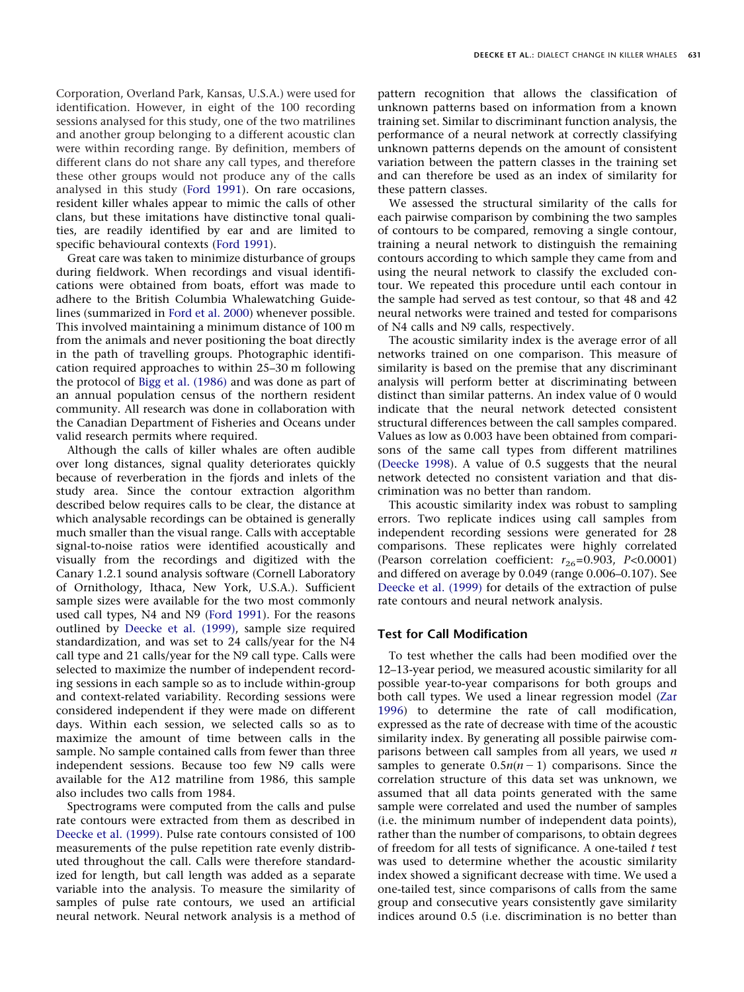Corporation, Overland Park, Kansas, U.S.A.) were used for identification. However, in eight of the 100 recording sessions analysed for this study, one of the two matrilines and another group belonging to a different acoustic clan were within recording range. By definition, members of different clans do not share any call types, and therefore these other groups would not produce any of the calls analysed in this study [\(Ford 1991\)](#page-8-5). On rare occasions, resident killer whales appear to mimic the calls of other clans, but these imitations have distinctive tonal qualities, are readily identified by ear and are limited to specific behavioural contexts [\(Ford 1991\)](#page-8-5).

Great care was taken to minimize disturbance of groups during fieldwork. When recordings and visual identifications were obtained from boats, effort was made to adhere to the British Columbia Whalewatching Guidelines (summarized in [Ford et al. 2000\)](#page-8-9) whenever possible. This involved maintaining a minimum distance of 100 m from the animals and never positioning the boat directly in the path of travelling groups. Photographic identification required approaches to within 25–30 m following the protocol of [Bigg et al. \(1986\)](#page-7-5) and was done as part of an annual population census of the northern resident community. All research was done in collaboration with the Canadian Department of Fisheries and Oceans under valid research permits where required.

Although the calls of killer whales are often audible over long distances, signal quality deteriorates quickly because of reverberation in the fjords and inlets of the study area. Since the contour extraction algorithm described below requires calls to be clear, the distance at which analysable recordings can be obtained is generally much smaller than the visual range. Calls with acceptable signal-to-noise ratios were identified acoustically and visually from the recordings and digitized with the Canary 1.2.1 sound analysis software (Cornell Laboratory of Ornithology, Ithaca, New York, U.S.A.). Sufficient sample sizes were available for the two most commonly used call types, N4 and N9 [\(Ford 1991\)](#page-8-5). For the reasons outlined by [Deecke et al. \(1999\),](#page-7-6) sample size required standardization, and was set to 24 calls/year for the N4 call type and 21 calls/year for the N9 call type. Calls were selected to maximize the number of independent recording sessions in each sample so as to include within-group and context-related variability. Recording sessions were considered independent if they were made on different days. Within each session, we selected calls so as to maximize the amount of time between calls in the sample. No sample contained calls from fewer than three independent sessions. Because too few N9 calls were available for the A12 matriline from 1986, this sample also includes two calls from 1984.

Spectrograms were computed from the calls and pulse rate contours were extracted from them as described in [Deecke et al. \(1999\).](#page-7-6) Pulse rate contours consisted of 100 measurements of the pulse repetition rate evenly distributed throughout the call. Calls were therefore standardized for length, but call length was added as a separate variable into the analysis. To measure the similarity of samples of pulse rate contours, we used an artificial neural network. Neural network analysis is a method of pattern recognition that allows the classification of unknown patterns based on information from a known training set. Similar to discriminant function analysis, the performance of a neural network at correctly classifying unknown patterns depends on the amount of consistent variation between the pattern classes in the training set and can therefore be used as an index of similarity for these pattern classes.

We assessed the structural similarity of the calls for each pairwise comparison by combining the two samples of contours to be compared, removing a single contour, training a neural network to distinguish the remaining contours according to which sample they came from and using the neural network to classify the excluded contour. We repeated this procedure until each contour in the sample had served as test contour, so that 48 and 42 neural networks were trained and tested for comparisons of N4 calls and N9 calls, respectively.

The acoustic similarity index is the average error of all networks trained on one comparison. This measure of similarity is based on the premise that any discriminant analysis will perform better at discriminating between distinct than similar patterns. An index value of 0 would indicate that the neural network detected consistent structural differences between the call samples compared. Values as low as 0.003 have been obtained from comparisons of the same call types from different matrilines [\(Deecke 1998\)](#page-7-7). A value of 0.5 suggests that the neural network detected no consistent variation and that discrimination was no better than random.

This acoustic similarity index was robust to sampling errors. Two replicate indices using call samples from independent recording sessions were generated for 28 comparisons. These replicates were highly correlated (Pearson correlation coefficient:  $r_{26}$ =0.903, *P*<0.0001) and differed on average by 0.049 (range 0.006–0.107). See [Deecke et al. \(1999\)](#page-7-6) for details of the extraction of pulse rate contours and neural network analysis.

# **Test for Call Modification**

To test whether the calls had been modified over the 12–13-year period, we measured acoustic similarity for all possible year-to-year comparisons for both groups and both call types. We used a linear regression model [\(Zar](#page-8-12) [1996\)](#page-8-12) to determine the rate of call modification, expressed as the rate of decrease with time of the acoustic similarity index. By generating all possible pairwise comparisons between call samples from all years, we used *n* samples to generate  $0.5n(n-1)$  comparisons. Since the correlation structure of this data set was unknown, we assumed that all data points generated with the same sample were correlated and used the number of samples (i.e. the minimum number of independent data points), rather than the number of comparisons, to obtain degrees of freedom for all tests of significance. A one-tailed *t* test was used to determine whether the acoustic similarity index showed a significant decrease with time. We used a one-tailed test, since comparisons of calls from the same group and consecutive years consistently gave similarity indices around 0.5 (i.e. discrimination is no better than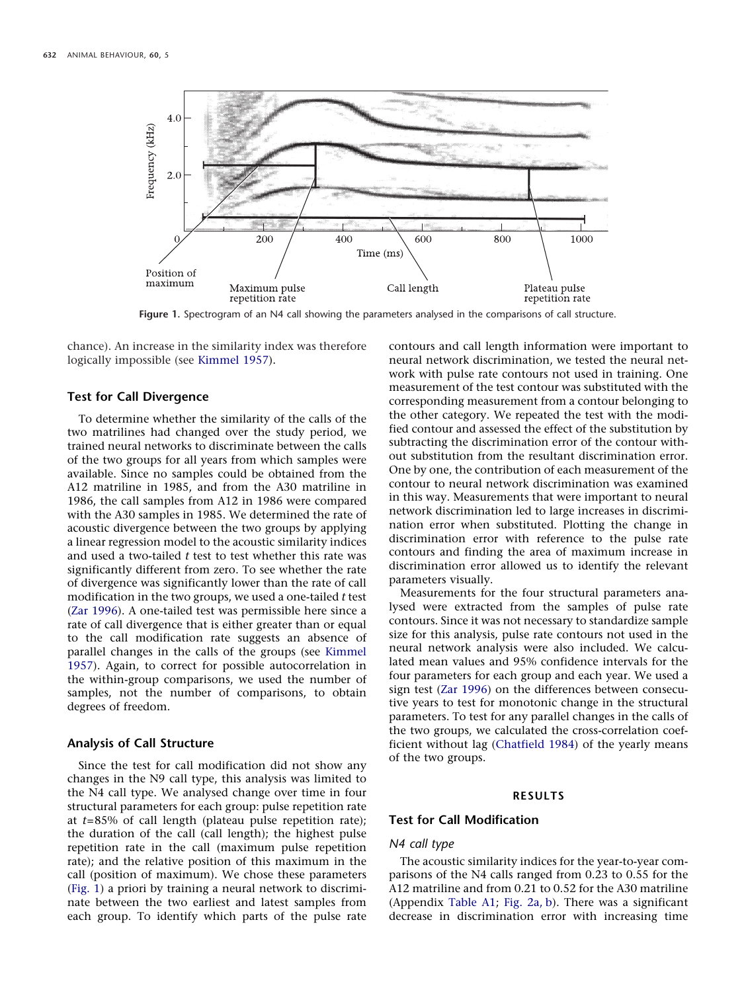<span id="page-3-0"></span>

**Figure 1.** Spectrogram of an N4 call showing the parameters analysed in the comparisons of call structure.

chance). An increase in the similarity index was therefore logically impossible (see [Kimmel 1957\)](#page-8-13).

# **Test for Call Divergence**

To determine whether the similarity of the calls of the two matrilines had changed over the study period, we trained neural networks to discriminate between the calls of the two groups for all years from which samples were available. Since no samples could be obtained from the A12 matriline in 1985, and from the A30 matriline in 1986, the call samples from A12 in 1986 were compared with the A30 samples in 1985. We determined the rate of acoustic divergence between the two groups by applying a linear regression model to the acoustic similarity indices and used a two-tailed *t* test to test whether this rate was significantly different from zero. To see whether the rate of divergence was significantly lower than the rate of call modification in the two groups, we used a one-tailed *t* test [\(Zar 1996\)](#page-8-12). A one-tailed test was permissible here since a rate of call divergence that is either greater than or equal to the call modification rate suggests an absence of parallel changes in the calls of the groups (see [Kimmel](#page-8-13) [1957\)](#page-8-13). Again, to correct for possible autocorrelation in the within-group comparisons, we used the number of samples, not the number of comparisons, to obtain degrees of freedom.

# **Analysis of Call Structure**

Since the test for call modification did not show any changes in the N9 call type, this analysis was limited to the N4 call type. We analysed change over time in four structural parameters for each group: pulse repetition rate at *t*=85% of call length (plateau pulse repetition rate); the duration of the call (call length); the highest pulse repetition rate in the call (maximum pulse repetition rate); and the relative position of this maximum in the call (position of maximum). We chose these parameters [\(Fig. 1\)](#page-3-0) a priori by training a neural network to discriminate between the two earliest and latest samples from each group. To identify which parts of the pulse rate contours and call length information were important to neural network discrimination, we tested the neural network with pulse rate contours not used in training. One measurement of the test contour was substituted with the corresponding measurement from a contour belonging to the other category. We repeated the test with the modified contour and assessed the effect of the substitution by subtracting the discrimination error of the contour without substitution from the resultant discrimination error. One by one, the contribution of each measurement of the contour to neural network discrimination was examined in this way. Measurements that were important to neural network discrimination led to large increases in discrimination error when substituted. Plotting the change in discrimination error with reference to the pulse rate contours and finding the area of maximum increase in discrimination error allowed us to identify the relevant parameters visually.

Measurements for the four structural parameters analysed were extracted from the samples of pulse rate contours. Since it was not necessary to standardize sample size for this analysis, pulse rate contours not used in the neural network analysis were also included. We calculated mean values and 95% confidence intervals for the four parameters for each group and each year. We used a sign test [\(Zar 1996\)](#page-8-12) on the differences between consecutive years to test for monotonic change in the structural parameters. To test for any parallel changes in the calls of the two groups, we calculated the cross-correlation coefficient without lag [\(Chatfield 1984\)](#page-7-8) of the yearly means of the two groups.

## **RESULTS**

# **Test for Call Modification**

# *N4 call type*

The acoustic similarity indices for the year-to-year comparisons of the N4 calls ranged from 0.23 to 0.55 for the A12 matriline and from 0.21 to 0.52 for the A30 matriline (Appendix [Table A1;](#page-9-0) [Fig. 2a, b\)](#page-4-0). There was a significant decrease in discrimination error with increasing time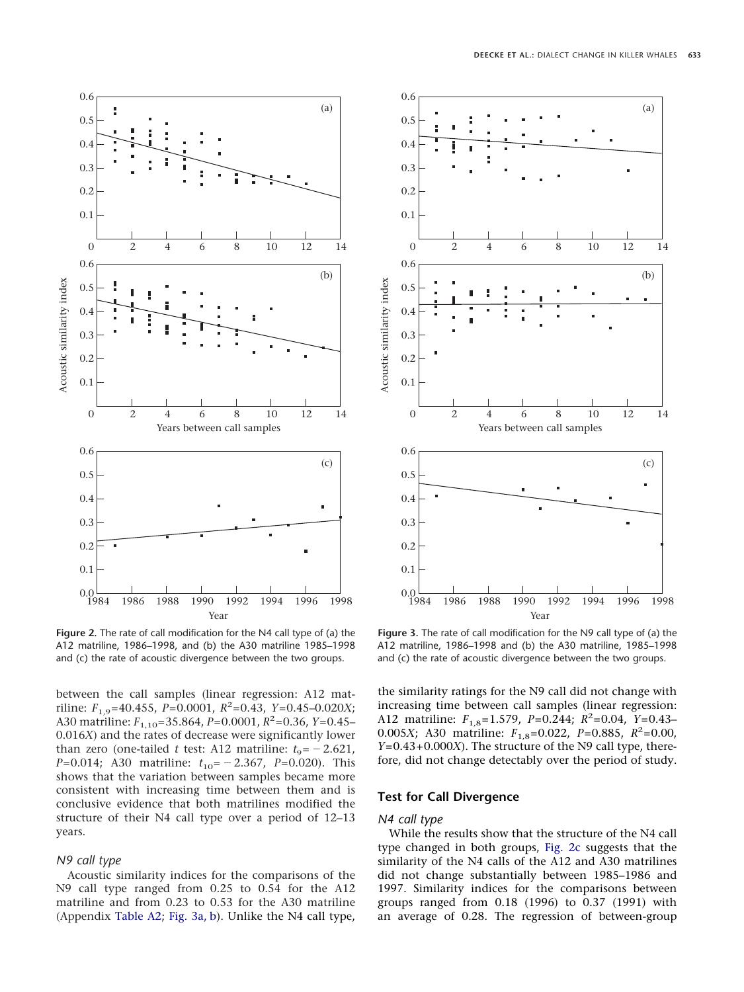

<span id="page-4-0"></span>

**Figure 2.** The rate of call modification for the N4 call type of (a) the A12 matriline, 1986–1998, and (b) the A30 matriline 1985–1998 and (c) the rate of acoustic divergence between the two groups.

between the call samples (linear regression: A12 matriline: *F*1,9=40.455, *P*=0.0001, *R*<sup>2</sup> =0.43, *Y*=0.45–0.020*X*; A30 matriline: *F*1,10=35.864, *P*=0.0001, *R*<sup>2</sup> =0.36, *Y*=0.45– 0.016*X*) and the rates of decrease were significantly lower than zero (one-tailed *t* test: A12 matriline:  $t_9 = -2.621$ , *P*=0.014; A30 matriline:  $t_{10}$ = -2.367, *P*=0.020). This shows that the variation between samples became more consistent with increasing time between them and is conclusive evidence that both matrilines modified the structure of their N4 call type over a period of 12–13 years.

# *N9 call type*

Acoustic similarity indices for the comparisons of the N9 call type ranged from 0.25 to 0.54 for the A12 matriline and from 0.23 to 0.53 for the A30 matriline (Appendix [Table A2;](#page-9-1) [Fig. 3a, b\)](#page-4-1). Unlike the N4 call type,

<span id="page-4-1"></span>

**Figure 3.** The rate of call modification for the N9 call type of (a) the A12 matriline, 1986–1998 and (b) the A30 matriline, 1985–1998 and (c) the rate of acoustic divergence between the two groups.

the similarity ratings for the N9 call did not change with increasing time between call samples (linear regression: A12 matriline: *F*1,8=1.579, *P*=0.244; *R*<sup>2</sup> =0.04, *Y*=0.43– 0.005*X*; A30 matriline: *F*1,8=0.022, *P*=0.885, *R*<sup>2</sup> =0.00, *Y*=0.43+0.000*X*). The structure of the N9 call type, therefore, did not change detectably over the period of study.

# **Test for Call Divergence**

### *N4 call type*

While the results show that the structure of the N4 call type changed in both groups, [Fig. 2c](#page-4-0) suggests that the similarity of the N4 calls of the A12 and A30 matrilines did not change substantially between 1985–1986 and 1997. Similarity indices for the comparisons between groups ranged from 0.18 (1996) to 0.37 (1991) with an average of 0.28. The regression of between-group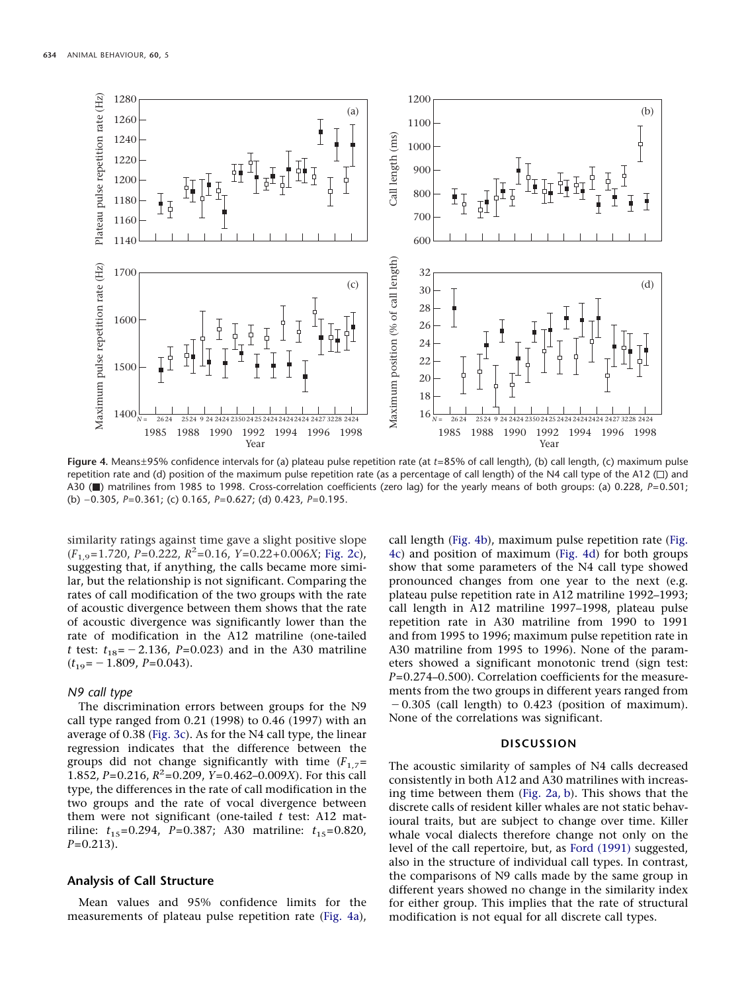<span id="page-5-0"></span>

**Figure 4.** Means±95% confidence intervals for (a) plateau pulse repetition rate (at *t*=85% of call length), (b) call length, (c) maximum pulse repetition rate and (d) position of the maximum pulse repetition rate (as a percentage of call length) of the N4 call type of the A12  $\Box$ ) and A30 (**I**) matrilines from 1985 to 1998. Cross-correlation coefficients (zero lag) for the yearly means of both groups: (a) 0.228, P=0.501; (b) −0.305, *P*=0.361; (c) 0.165, *P*=0.627; (d) 0.423, *P*=0.195.

similarity ratings against time gave a slight positive slope (*F*1,9=1.720, *P*=0.222, *R*<sup>2</sup> =0.16, *Y*=0.22+0.006*X*; [Fig. 2c\)](#page-4-0), suggesting that, if anything, the calls became more similar, but the relationship is not significant. Comparing the rates of call modification of the two groups with the rate of acoustic divergence between them shows that the rate of acoustic divergence was significantly lower than the rate of modification in the A12 matriline (one-tailed *t* test:  $t_{18}$  = -2.136, *P*=0.023) and in the A30 matriline  $(t_{19}=-1.809, P=0.043).$ 

### *N9 call type*

The discrimination errors between groups for the N9 call type ranged from 0.21 (1998) to 0.46 (1997) with an average of 0.38 [\(Fig. 3c\)](#page-4-1). As for the N4 call type, the linear regression indicates that the difference between the groups did not change significantly with time  $(F_{1,7}=$ 1.852, *P*=0.216, *R*<sup>2</sup> =0.209, *Y*=0.462–0.009*X*). For this call type, the differences in the rate of call modification in the two groups and the rate of vocal divergence between them were not significant (one-tailed *t* test: A12 matriline:  $t_{15}=0.294$ , *P*=0.387; A30 matriline:  $t_{15}=0.820$ , *P*=0.213).

#### **Analysis of Call Structure**

Mean values and 95% confidence limits for the measurements of plateau pulse repetition rate [\(Fig. 4a\)](#page-5-0), call length [\(Fig. 4b\)](#page-5-0), maximum pulse repetition rate [\(Fig.](#page-5-0) [4c\)](#page-5-0) and position of maximum [\(Fig. 4d\)](#page-5-0) for both groups show that some parameters of the N4 call type showed pronounced changes from one year to the next (e.g. plateau pulse repetition rate in A12 matriline 1992–1993; call length in A12 matriline 1997–1998, plateau pulse repetition rate in A30 matriline from 1990 to 1991 and from 1995 to 1996; maximum pulse repetition rate in A30 matriline from 1995 to 1996). None of the parameters showed a significant monotonic trend (sign test: *P*=0.274–0.500). Correlation coefficients for the measurements from the two groups in different years ranged from  $-0.305$  (call length) to 0.423 (position of maximum). None of the correlations was significant.

# **DISCUSSION**

The acoustic similarity of samples of N4 calls decreased consistently in both A12 and A30 matrilines with increasing time between them [\(Fig. 2a, b\)](#page-4-0). This shows that the discrete calls of resident killer whales are not static behavioural traits, but are subject to change over time. Killer whale vocal dialects therefore change not only on the level of the call repertoire, but, as [Ford \(1991\)](#page-8-5) suggested, also in the structure of individual call types. In contrast, the comparisons of N9 calls made by the same group in different years showed no change in the similarity index for either group. This implies that the rate of structural modification is not equal for all discrete call types.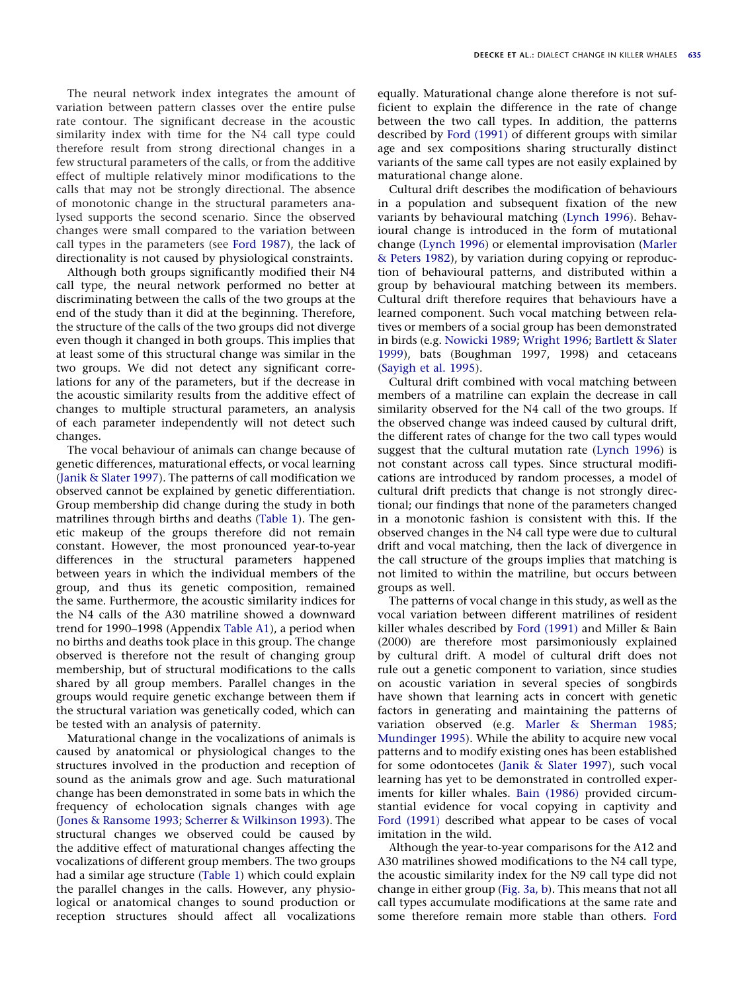The neural network index integrates the amount of variation between pattern classes over the entire pulse rate contour. The significant decrease in the acoustic similarity index with time for the N4 call type could therefore result from strong directional changes in a few structural parameters of the calls, or from the additive effect of multiple relatively minor modifications to the calls that may not be strongly directional. The absence of monotonic change in the structural parameters analysed supports the second scenario. Since the observed changes were small compared to the variation between call types in the parameters (see [Ford 1987\)](#page-7-4), the lack of directionality is not caused by physiological constraints.

Although both groups significantly modified their N4 call type, the neural network performed no better at discriminating between the calls of the two groups at the end of the study than it did at the beginning. Therefore, the structure of the calls of the two groups did not diverge even though it changed in both groups. This implies that at least some of this structural change was similar in the two groups. We did not detect any significant correlations for any of the parameters, but if the decrease in the acoustic similarity results from the additive effect of changes to multiple structural parameters, an analysis of each parameter independently will not detect such changes.

The vocal behaviour of animals can change because of genetic differences, maturational effects, or vocal learning [\(Janik & Slater 1997\)](#page-8-14). The patterns of call modification we observed cannot be explained by genetic differentiation. Group membership did change during the study in both matrilines through births and deaths [\(Table 1\)](#page-1-0). The genetic makeup of the groups therefore did not remain constant. However, the most pronounced year-to-year differences in the structural parameters happened between years in which the individual members of the group, and thus its genetic composition, remained the same. Furthermore, the acoustic similarity indices for the N4 calls of the A30 matriline showed a downward trend for 1990–1998 (Appendix [Table A1\)](#page-9-0), a period when no births and deaths took place in this group. The change observed is therefore not the result of changing group membership, but of structural modifications to the calls shared by all group members. Parallel changes in the groups would require genetic exchange between them if the structural variation was genetically coded, which can be tested with an analysis of paternity.

Maturational change in the vocalizations of animals is caused by anatomical or physiological changes to the structures involved in the production and reception of sound as the animals grow and age. Such maturational change has been demonstrated in some bats in which the frequency of echolocation signals changes with age [\(Jones & Ransome 1993;](#page-8-15) [Scherrer & Wilkinson 1993\)](#page-8-16). The structural changes we observed could be caused by the additive effect of maturational changes affecting the vocalizations of different group members. The two groups had a similar age structure [\(Table 1\)](#page-1-0) which could explain the parallel changes in the calls. However, any physiological or anatomical changes to sound production or reception structures should affect all vocalizations equally. Maturational change alone therefore is not sufficient to explain the difference in the rate of change between the two call types. In addition, the patterns described by [Ford \(1991\)](#page-8-5) of different groups with similar age and sex compositions sharing structurally distinct variants of the same call types are not easily explained by maturational change alone.

Cultural drift describes the modification of behaviours in a population and subsequent fixation of the new variants by behavioural matching [\(Lynch 1996\)](#page-8-2). Behavioural change is introduced in the form of mutational change [\(Lynch 1996\)](#page-8-2) or elemental improvisation [\(Marler](#page-8-17) [& Peters 1982\)](#page-8-17), by variation during copying or reproduction of behavioural patterns, and distributed within a group by behavioural matching between its members. Cultural drift therefore requires that behaviours have a learned component. Such vocal matching between relatives or members of a social group has been demonstrated in birds (e.g. [Nowicki 1989;](#page-8-18) [Wright 1996;](#page-8-19) [Bartlett & Slater](#page-7-9) [1999\)](#page-7-9), bats (Boughman 1997, 1998) and cetaceans [\(Sayigh et al. 1995\)](#page-8-20).

Cultural drift combined with vocal matching between members of a matriline can explain the decrease in call similarity observed for the N4 call of the two groups. If the observed change was indeed caused by cultural drift, the different rates of change for the two call types would suggest that the cultural mutation rate [\(Lynch 1996\)](#page-8-2) is not constant across call types. Since structural modifications are introduced by random processes, a model of cultural drift predicts that change is not strongly directional; our findings that none of the parameters changed in a monotonic fashion is consistent with this. If the observed changes in the N4 call type were due to cultural drift and vocal matching, then the lack of divergence in the call structure of the groups implies that matching is not limited to within the matriline, but occurs between groups as well.

The patterns of vocal change in this study, as well as the vocal variation between different matrilines of resident killer whales described by [Ford \(1991\)](#page-8-5) and Miller & Bain (2000) are therefore most parsimoniously explained by cultural drift. A model of cultural drift does not rule out a genetic component to variation, since studies on acoustic variation in several species of songbirds have shown that learning acts in concert with genetic factors in generating and maintaining the patterns of variation observed (e.g. [Marler & Sherman 1985;](#page-8-21) [Mundinger 1995\)](#page-8-22). While the ability to acquire new vocal patterns and to modify existing ones has been established for some odontocetes [\(Janik & Slater 1997\)](#page-8-14), such vocal learning has yet to be demonstrated in controlled experiments for killer whales. [Bain \(1986\)](#page-7-10) provided circumstantial evidence for vocal copying in captivity and [Ford \(1991\)](#page-8-5) described what appear to be cases of vocal imitation in the wild.

Although the year-to-year comparisons for the A12 and A30 matrilines showed modifications to the N4 call type, the acoustic similarity index for the N9 call type did not change in either group [\(Fig. 3a, b\)](#page-4-1). This means that not all call types accumulate modifications at the same rate and some therefore remain more stable than others. [Ford](#page-8-5)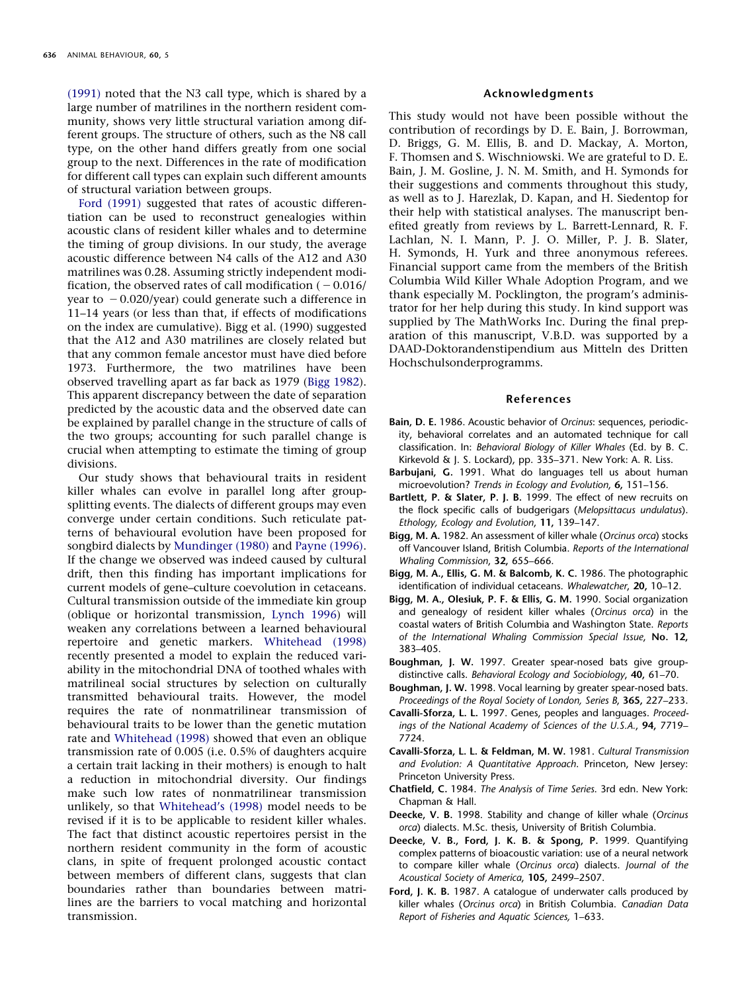[\(1991\)](#page-8-5) noted that the N3 call type, which is shared by a large number of matrilines in the northern resident community, shows very little structural variation among different groups. The structure of others, such as the N8 call type, on the other hand differs greatly from one social group to the next. Differences in the rate of modification for different call types can explain such different amounts of structural variation between groups.

[Ford \(1991\)](#page-8-5) suggested that rates of acoustic differentiation can be used to reconstruct genealogies within acoustic clans of resident killer whales and to determine the timing of group divisions. In our study, the average acoustic difference between N4 calls of the A12 and A30 matrilines was 0.28. Assuming strictly independent modification, the observed rates of call modification  $(-0.016/$ year to  $-0.020$ /year) could generate such a difference in 11–14 years (or less than that, if effects of modifications on the index are cumulative). Bigg et al. (1990) suggested that the A12 and A30 matrilines are closely related but that any common female ancestor must have died before 1973. Furthermore, the two matrilines have been observed travelling apart as far back as 1979 [\(Bigg 1982\)](#page-7-11). This apparent discrepancy between the date of separation predicted by the acoustic data and the observed date can be explained by parallel change in the structure of calls of the two groups; accounting for such parallel change is crucial when attempting to estimate the timing of group divisions.

Our study shows that behavioural traits in resident killer whales can evolve in parallel long after groupsplitting events. The dialects of different groups may even converge under certain conditions. Such reticulate patterns of behavioural evolution have been proposed for songbird dialects by [Mundinger \(1980\)](#page-8-10) and [Payne \(1996\).](#page-8-11) If the change we observed was indeed caused by cultural drift, then this finding has important implications for current models of gene–culture coevolution in cetaceans. Cultural transmission outside of the immediate kin group (oblique or horizontal transmission, [Lynch 1996\)](#page-8-2) will weaken any correlations between a learned behavioural repertoire and genetic markers. [Whitehead \(1998\)](#page-8-3) recently presented a model to explain the reduced variability in the mitochondrial DNA of toothed whales with matrilineal social structures by selection on culturally transmitted behavioural traits. However, the model requires the rate of nonmatrilinear transmission of behavioural traits to be lower than the genetic mutation rate and [Whitehead \(1998\)](#page-8-3) showed that even an oblique transmission rate of 0.005 (i.e. 0.5% of daughters acquire a certain trait lacking in their mothers) is enough to halt a reduction in mitochondrial diversity. Our findings make such low rates of nonmatrilinear transmission unlikely, so that [Whitehead's \(1998\)](#page-8-3) model needs to be revised if it is to be applicable to resident killer whales. The fact that distinct acoustic repertoires persist in the northern resident community in the form of acoustic clans, in spite of frequent prolonged acoustic contact between members of different clans, suggests that clan boundaries rather than boundaries between matrilines are the barriers to vocal matching and horizontal transmission.

#### **Acknowledgments**

This study would not have been possible without the contribution of recordings by D. E. Bain, J. Borrowman, D. Briggs, G. M. Ellis, B. and D. Mackay, A. Morton, F. Thomsen and S. Wischniowski. We are grateful to D. E. Bain, J. M. Gosline, J. N. M. Smith, and H. Symonds for their suggestions and comments throughout this study, as well as to J. Harezlak, D. Kapan, and H. Siedentop for their help with statistical analyses. The manuscript benefited greatly from reviews by L. Barrett-Lennard, R. F. Lachlan, N. I. Mann, P. J. O. Miller, P. J. B. Slater, H. Symonds, H. Yurk and three anonymous referees. Financial support came from the members of the British Columbia Wild Killer Whale Adoption Program, and we thank especially M. Pocklington, the program's administrator for her help during this study. In kind support was supplied by The MathWorks Inc. During the final preparation of this manuscript, V.B.D. was supported by a DAAD-Doktorandenstipendium aus Mitteln des Dritten Hochschulsonderprogramms.

#### **References**

- <span id="page-7-10"></span>**Bain, D. E.** 1986. Acoustic behavior of *Orcinus*: sequences, periodicity, behavioral correlates and an automated technique for call classification. In: *Behavioral Biology of Killer Whales* (Ed. by B. C. Kirkevold & J. S. Lockard), pp. 335–371. New York: A. R. Liss.
- <span id="page-7-1"></span>**Barbujani, G.** 1991. What do languages tell us about human microevolution? *Trends in Ecology and Evolution*, **6,** 151–156.
- <span id="page-7-9"></span>**Bartlett, P. & Slater, P. J. B.** 1999. The effect of new recruits on the flock specific calls of budgerigars (*Melopsittacus undulatus*). *Ethology, Ecology and Evolution*, **11,** 139–147.
- <span id="page-7-11"></span>**Bigg, M. A.** 1982. An assessment of killer whale (*Orcinus orca*) stocks off Vancouver Island, British Columbia. *Reports of the International Whaling Commission*, **32,** 655–666.
- <span id="page-7-5"></span>**Bigg, M. A., Ellis, G. M. & Balcomb, K. C.** 1986. The photographic identification of individual cetaceans. *Whalewatcher*, **20,** 10–12.
- <span id="page-7-3"></span>**Bigg, M. A., Olesiuk, P. F. & Ellis, G. M.** 1990. Social organization and genealogy of resident killer whales (*Orcinus orca*) in the coastal waters of British Columbia and Washington State. *Reports of the International Whaling Commission Special Issue*, **No. 12,** 383–405.
- **Boughman, J. W.** 1997. Greater spear-nosed bats give groupdistinctive calls. *Behavioral Ecology and Sociobiology*, **40,** 61–70.
- **Boughman, J. W.** 1998. Vocal learning by greater spear-nosed bats. *Proceedings of the Royal Society of London, Series B*, **365,** 227–233.
- <span id="page-7-2"></span>**Cavalli-Sforza, L. L.** 1997. Genes, peoples and languages. *Proceedings of the National Academy of Sciences of the U.S.A.*, **94,** 7719– 7724.
- <span id="page-7-0"></span>**Cavalli-Sforza, L. L. & Feldman, M. W.** 1981. *Cultural Transmission and Evolution: A Quantitative Approach*. Princeton, New Jersey: Princeton University Press.
- <span id="page-7-8"></span>**Chatfield, C.** 1984. *The Analysis of Time Series*. 3rd edn. New York: Chapman & Hall.
- <span id="page-7-7"></span>**Deecke, V. B.** 1998. Stability and change of killer whale (*Orcinus orca*) dialects. M.Sc. thesis, University of British Columbia.
- <span id="page-7-6"></span>**Deecke, V. B., Ford, J. K. B. & Spong, P.** 1999. Quantifying complex patterns of bioacoustic variation: use of a neural network to compare killer whale (*Orcinus orca*) dialects. *Journal of the Acoustical Society of America*, **105,** 2499–2507.
- <span id="page-7-4"></span>**Ford, J. K. B.** 1987. A catalogue of underwater calls produced by killer whales (*Orcinus orca*) in British Columbia. *Canadian Data Report of Fisheries and Aquatic Sciences,* 1–633.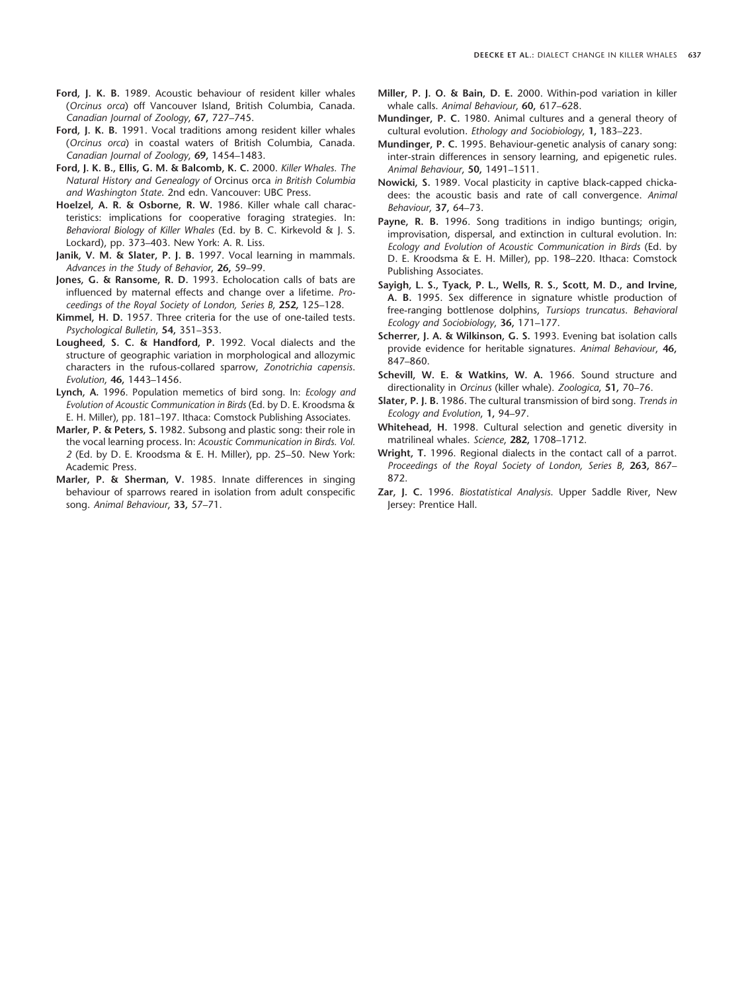- <span id="page-8-4"></span>**Ford, J. K. B.** 1989. Acoustic behaviour of resident killer whales (*Orcinus orca*) off Vancouver Island, British Columbia, Canada. *Canadian Journal of Zoology*, **67,** 727–745.
- <span id="page-8-5"></span>**Ford, J. K. B.** 1991. Vocal traditions among resident killer whales (*Orcinus orca*) in coastal waters of British Columbia, Canada. *Canadian Journal of Zoology*, **69,** 1454–1483.
- <span id="page-8-9"></span>**Ford, J. K. B., Ellis, G. M. & Balcomb, K. C.** 2000. *Killer Whales. The Natural History and Genealogy of* Orcinus orca *in British Columbia and Washington State*. 2nd edn. Vancouver: UBC Press.
- <span id="page-8-7"></span>**Hoelzel, A. R. & Osborne, R. W.** 1986. Killer whale call characteristics: implications for cooperative foraging strategies. In: *Behavioral Biology of Killer Whales* (Ed. by B. C. Kirkevold & J. S. Lockard), pp. 373–403. New York: A. R. Liss.
- <span id="page-8-14"></span>**Janik, V. M. & Slater, P. J. B.** 1997. Vocal learning in mammals. *Advances in the Study of Behavior*, **26,** 59–99.
- <span id="page-8-15"></span>**Jones, G. & Ransome, R. D.** 1993. Echolocation calls of bats are influenced by maternal effects and change over a lifetime. *Proceedings of the Royal Society of London, Series B*, **252,** 125–128.
- <span id="page-8-13"></span>**Kimmel, H. D.** 1957. Three criteria for the use of one-tailed tests. *Psychological Bulletin*, **54,** 351–353.
- <span id="page-8-1"></span>**Lougheed, S. C. & Handford, P.** 1992. Vocal dialects and the structure of geographic variation in morphological and allozymic characters in the rufous-collared sparrow, *Zonotrichia capensis*. *Evolution*, **46,** 1443–1456.
- <span id="page-8-2"></span>**Lynch, A.** 1996. Population memetics of bird song. In: *Ecology and Evolution of Acoustic Communication in Birds* (Ed. by D. E. Kroodsma & E. H. Miller), pp. 181–197. Ithaca: Comstock Publishing Associates.
- <span id="page-8-17"></span>**Marler, P. & Peters, S.** 1982. Subsong and plastic song: their role in the vocal learning process. In: *Acoustic Communication in Birds. Vol. 2* (Ed. by D. E. Kroodsma & E. H. Miller), pp. 25–50. New York: Academic Press.
- <span id="page-8-21"></span>**Marler, P. & Sherman, V.** 1985. Innate differences in singing behaviour of sparrows reared in isolation from adult conspecific song. *Animal Behaviour*, **33,** 57–71.
- <span id="page-8-8"></span>**Miller, P. J. O. & Bain, D. E.** 2000. Within-pod variation in killer whale calls. *Animal Behaviour*, **60,** 617–628.
- <span id="page-8-10"></span>**Mundinger, P. C.** 1980. Animal cultures and a general theory of cultural evolution. *Ethology and Sociobiology*, **1,** 183–223.
- <span id="page-8-22"></span>**Mundinger, P. C.** 1995. Behaviour-genetic analysis of canary song: inter-strain differences in sensory learning, and epigenetic rules. *Animal Behaviour*, **50,** 1491–1511.
- <span id="page-8-18"></span>**Nowicki, S.** 1989. Vocal plasticity in captive black-capped chickadees: the acoustic basis and rate of call convergence. *Animal Behaviour*, **37,** 64–73.
- <span id="page-8-11"></span>Payne, R. B. 1996. Song traditions in indigo buntings: origin. improvisation, dispersal, and extinction in cultural evolution. In: *Ecology and Evolution of Acoustic Communication in Birds* (Ed. by D. E. Kroodsma & E. H. Miller), pp. 198–220. Ithaca: Comstock Publishing Associates.
- <span id="page-8-20"></span>**Sayigh, L. S., Tyack, P. L., Wells, R. S., Scott, M. D., and Irvine, A. B.** 1995. Sex difference in signature whistle production of free-ranging bottlenose dolphins, *Tursiops truncatus*. *Behavioral Ecology and Sociobiology*, **36,** 171–177.
- <span id="page-8-16"></span>**Scherrer, J. A. & Wilkinson, G. S.** 1993. Evening bat isolation calls provide evidence for heritable signatures. *Animal Behaviour*, **46,** 847–860.
- <span id="page-8-6"></span>**Schevill, W. E. & Watkins, W. A.** 1966. Sound structure and directionality in *Orcinus* (killer whale). *Zoologica*, **51,** 70–76.
- <span id="page-8-0"></span>**Slater, P. J. B.** 1986. The cultural transmission of bird song. *Trends in Ecology and Evolution*, **1,** 94–97.
- <span id="page-8-3"></span>**Whitehead, H.** 1998. Cultural selection and genetic diversity in matrilineal whales. *Science*, **282,** 1708–1712.
- <span id="page-8-19"></span>**Wright, T.** 1996. Regional dialects in the contact call of a parrot. *Proceedings of the Royal Society of London, Series B*, **263,** 867– 872.
- <span id="page-8-12"></span>**Zar, J. C.** 1996. *Biostatistical Analysis*. Upper Saddle River, New Jersey: Prentice Hall.